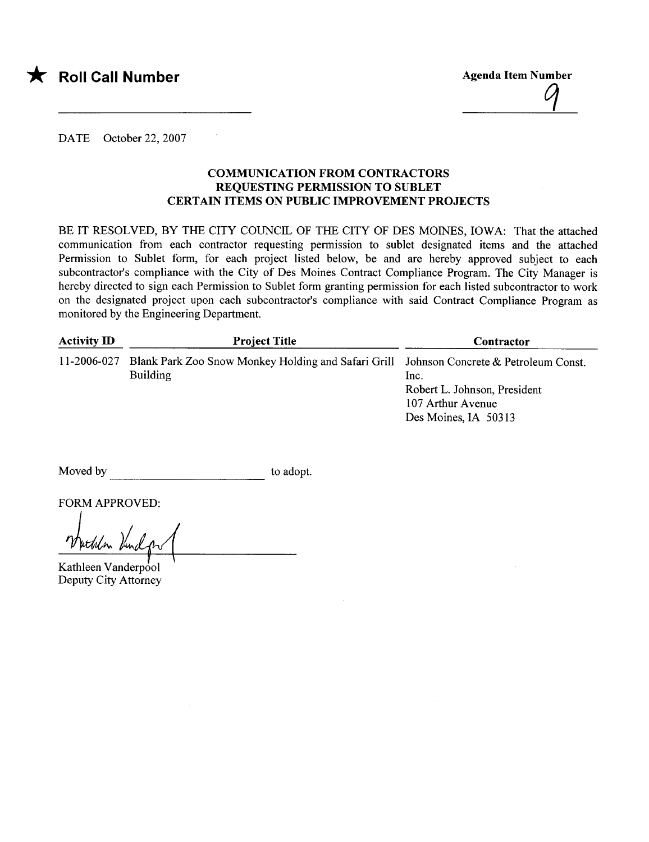

\* Roll Call Number Agenda Item Number Agenda Item Number

 $\frac{q}{q}$ 

DATE October 22, 2007

## COMMUNICATION FROM CONTRACTORS REQUESTING PERMISSION TO SUBLET CERTAIN ITEMS ON PUBLIC IMPROVEMENT PROJECTS

BE IT RESOLVED, BY THE CITY COUNCIL OF THE CITY OF DES MOINES, IOWA: That the attached communication from each contractor requesting permission to sublet designated items and the attached Permission to Sublet form, for each project listed below, be and are hereby approved subject to each subcontractor's compliance with the City of Des Moines Contract Compliance Program. The City Manager is hereby directed to sign each Permission to Sublet form granting permission for each listed subcontractor to work on the designated project upon each subcontractor's compliance with said Contract Compliance Program as monitored by the Engineering Department.

| <b>Activity ID</b> | <b>Project Title</b>                                                                                                   | Contractor                                                                        |  |  |
|--------------------|------------------------------------------------------------------------------------------------------------------------|-----------------------------------------------------------------------------------|--|--|
|                    | 11-2006-027 Blank Park Zoo Snow Monkey Holding and Safari Grill Johnson Concrete & Petroleum Const.<br><b>Building</b> | lnc.<br>Robert L. Johnson, President<br>107 Arthur Avenue<br>Des Moines, IA 50313 |  |  |

Moved by to adopt.

FORM APPROVED:

Kathleen Vanderpool Deputy City Attorney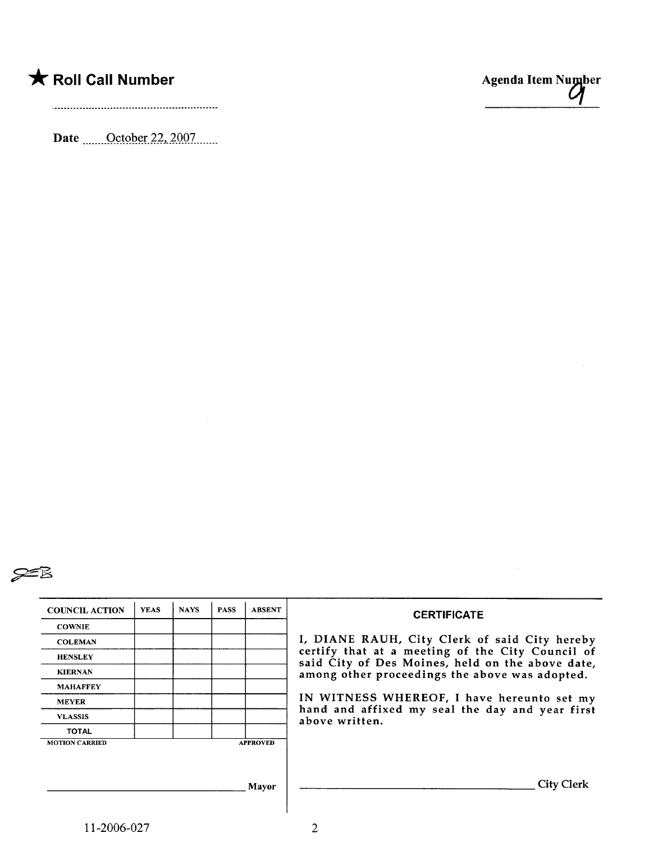Date <u>......October 22, 2007</u>.......





| <b>COUNCIL ACTION</b> | <b>YEAS</b> | <b>NAYS</b> | <b>PASS</b>                                    | <b>ABSENT</b>   |                                                                                                      |
|-----------------------|-------------|-------------|------------------------------------------------|-----------------|------------------------------------------------------------------------------------------------------|
|                       |             |             |                                                |                 | <b>CERTIFICATE</b>                                                                                   |
| <b>COWNIE</b>         |             |             |                                                |                 |                                                                                                      |
| <b>COLEMAN</b>        |             |             |                                                |                 | I, DIANE RAUH, City Clerk of said City hereby                                                        |
| <b>HENSLEY</b>        |             |             |                                                |                 | certify that at a meeting of the City Council of<br>said City of Des Moines, held on the above date, |
| <b>KIERNAN</b>        |             |             | among other proceedings the above was adopted. |                 |                                                                                                      |
| <b>MAHAFFEY</b>       |             |             |                                                |                 |                                                                                                      |
| <b>MEYER</b>          |             |             |                                                |                 | IN WITNESS WHEREOF, I have hereunto set my                                                           |
| <b>VLASSIS</b>        |             |             |                                                |                 | hand and affixed my seal the day and year first<br>above written.                                    |
| <b>TOTAL</b>          |             |             |                                                |                 |                                                                                                      |
| <b>MOTION CARRIED</b> |             |             |                                                | <b>APPROVED</b> |                                                                                                      |
|                       |             |             |                                                |                 |                                                                                                      |
|                       |             |             |                                                |                 |                                                                                                      |
| Mayor                 |             |             |                                                |                 | <b>City Clerk</b>                                                                                    |
|                       |             |             |                                                |                 |                                                                                                      |
|                       |             |             |                                                |                 |                                                                                                      |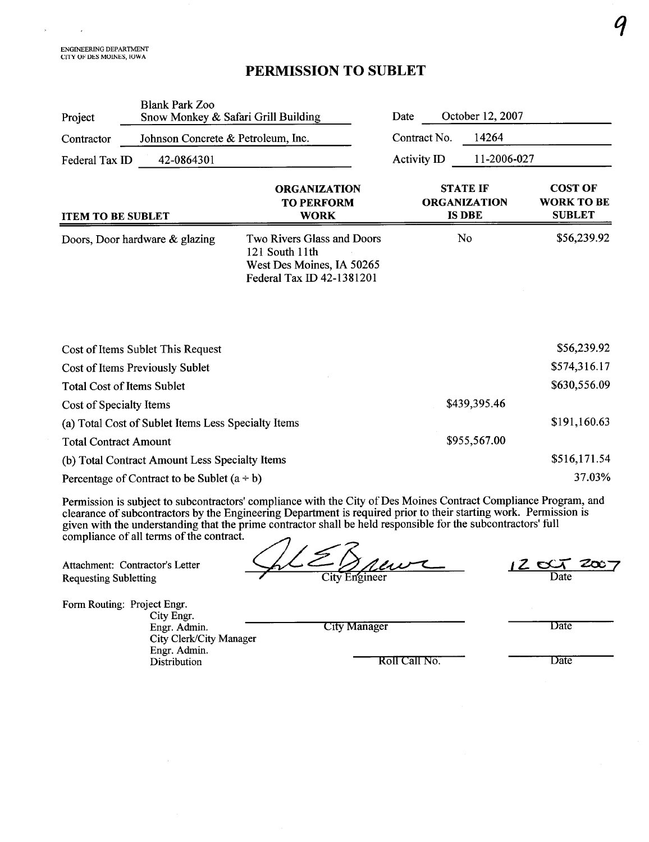$\bar{z}$ 

 $\lambda$ 

## PERMISSION TO SUBLET

| Project                           | <b>Blank Park Zoo</b>                               | Snow Monkey & Safari Grill Building                                                                              | Date                                                    | October 12, 2007 |                                                      |  |
|-----------------------------------|-----------------------------------------------------|------------------------------------------------------------------------------------------------------------------|---------------------------------------------------------|------------------|------------------------------------------------------|--|
| Contractor                        | Johnson Concrete & Petroleum, Inc.                  |                                                                                                                  | Contract No.                                            | 14264            |                                                      |  |
| Federal Tax ID                    | 42-0864301                                          |                                                                                                                  | Activity ID                                             | 11-2006-027      |                                                      |  |
| <b>ITEM TO BE SUBLET</b>          |                                                     | <b>ORGANIZATION</b><br><b>TO PERFORM</b><br><b>WORK</b>                                                          | <b>STATE IF</b><br><b>ORGANIZATION</b><br><b>IS DBE</b> |                  | <b>COST OF</b><br><b>WORK TO BE</b><br><b>SUBLET</b> |  |
|                                   | Doors, Door hardware & glazing                      | Two Rivers Glass and Doors<br>121 South 11th<br>West Des Moines, IA 50265<br>Federal Tax ID 42-1381201           |                                                         | No               | \$56,239.92                                          |  |
|                                   | Cost of Items Sublet This Request                   |                                                                                                                  |                                                         |                  | \$56,239.92                                          |  |
|                                   | Cost of Items Previously Sublet                     |                                                                                                                  |                                                         |                  | \$574,316.17                                         |  |
| <b>Total Cost of Items Sublet</b> |                                                     |                                                                                                                  |                                                         | \$630,556.09     |                                                      |  |
| Cost of Specialty Items           |                                                     | \$439,395.46                                                                                                     |                                                         |                  |                                                      |  |
|                                   | (a) Total Cost of Sublet Items Less Specialty Items | \$191,160.63                                                                                                     |                                                         |                  |                                                      |  |
| <b>Total Contract Amount</b>      |                                                     | \$955,567.00                                                                                                     |                                                         |                  |                                                      |  |
|                                   | (b) Total Contract Amount Less Specialty Items      |                                                                                                                  |                                                         | \$516,171.54     |                                                      |  |
|                                   | Percentage of Contract to be Sublet $(a \div b)$    |                                                                                                                  |                                                         | 37.03%           |                                                      |  |
|                                   |                                                     | Permission is subject to subcontractors' compliance with the City of Des Moines Contract Compliance Program, and |                                                         |                  |                                                      |  |

clearance of subcontractors by the Engineering Department is required prior to their starting work. Permission is given with the understanding that the prime contractor shall be held responsible for the subcontractors' full

Attachment: Contractor's Letter Requesting Subletting

compliance of all terms of the contract.<br>Attachment: Contractor's Letter<br>Requesting Subletting<br>City Engineer

12 cc 7 2007 Date

Form Routing: Project Engr.

City Engr. Engr. Admin. City Clerk/City Manager Engr. Admin. Distribution

City Manager Date

Roll Call No. Date

 $\boldsymbol{q}$